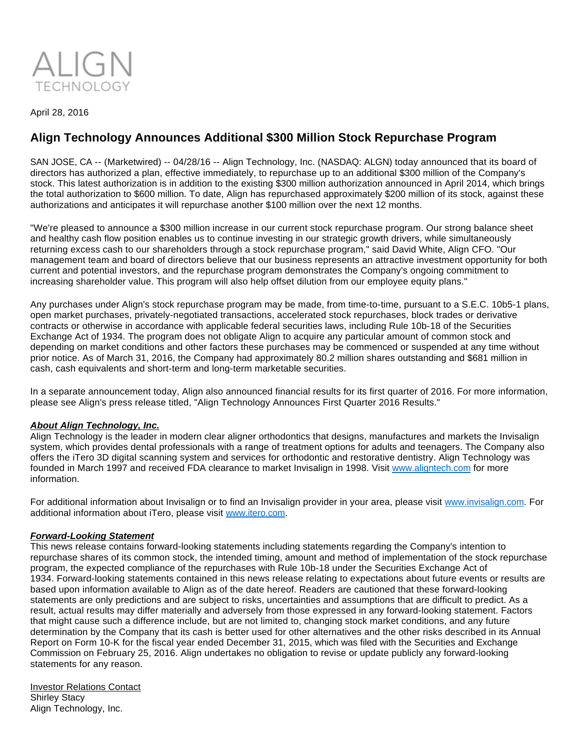

April 28, 2016

## **Align Technology Announces Additional \$300 Million Stock Repurchase Program**

SAN JOSE, CA -- (Marketwired) -- 04/28/16 -- Align Technology, Inc. (NASDAQ: ALGN) today announced that its board of directors has authorized a plan, effective immediately, to repurchase up to an additional \$300 million of the Company's stock. This latest authorization is in addition to the existing \$300 million authorization announced in April 2014, which brings the total authorization to \$600 million. To date, Align has repurchased approximately \$200 million of its stock, against these authorizations and anticipates it will repurchase another \$100 million over the next 12 months.

"We're pleased to announce a \$300 million increase in our current stock repurchase program. Our strong balance sheet and healthy cash flow position enables us to continue investing in our strategic growth drivers, while simultaneously returning excess cash to our shareholders through a stock repurchase program," said David White, Align CFO. "Our management team and board of directors believe that our business represents an attractive investment opportunity for both current and potential investors, and the repurchase program demonstrates the Company's ongoing commitment to increasing shareholder value. This program will also help offset dilution from our employee equity plans."

Any purchases under Align's stock repurchase program may be made, from time-to-time, pursuant to a S.E.C. 10b5-1 plans, open market purchases, privately-negotiated transactions, accelerated stock repurchases, block trades or derivative contracts or otherwise in accordance with applicable federal securities laws, including Rule 10b-18 of the Securities Exchange Act of 1934. The program does not obligate Align to acquire any particular amount of common stock and depending on market conditions and other factors these purchases may be commenced or suspended at any time without prior notice. As of March 31, 2016, the Company had approximately 80.2 million shares outstanding and \$681 million in cash, cash equivalents and short-term and long-term marketable securities.

In a separate announcement today, Align also announced financial results for its first quarter of 2016. For more information, please see Align's press release titled, "Align Technology Announces First Quarter 2016 Results."

## **About Align Technology, Inc.**

Align Technology is the leader in modern clear aligner orthodontics that designs, manufactures and markets the Invisalign system, which provides dental professionals with a range of treatment options for adults and teenagers. The Company also offers the iTero 3D digital scanning system and services for orthodontic and restorative dentistry. Align Technology was founded in March 1997 and received FDA clearance to market Invisalign in 1998. Visit [www.aligntech.com](http://www.aligntech.com/) for more information.

For additional information about Invisalign or to find an Invisalign provider in your area, please visit [www.invisalign.com](http://www.invisalign.com/). For additional information about iTero, please visit [www.itero.com](http://www.itero.com/).

## **Forward-Looking Statement**

This news release contains forward-looking statements including statements regarding the Company's intention to repurchase shares of its common stock, the intended timing, amount and method of implementation of the stock repurchase program, the expected compliance of the repurchases with Rule 10b-18 under the Securities Exchange Act of 1934. Forward-looking statements contained in this news release relating to expectations about future events or results are based upon information available to Align as of the date hereof. Readers are cautioned that these forward-looking statements are only predictions and are subject to risks, uncertainties and assumptions that are difficult to predict. As a result, actual results may differ materially and adversely from those expressed in any forward-looking statement. Factors that might cause such a difference include, but are not limited to, changing stock market conditions, and any future determination by the Company that its cash is better used for other alternatives and the other risks described in its Annual Report on Form 10-K for the fiscal year ended December 31, 2015, which was filed with the Securities and Exchange Commission on February 25, 2016. Align undertakes no obligation to revise or update publicly any forward-looking statements for any reason.

Investor Relations Contact Shirley Stacy Align Technology, Inc.